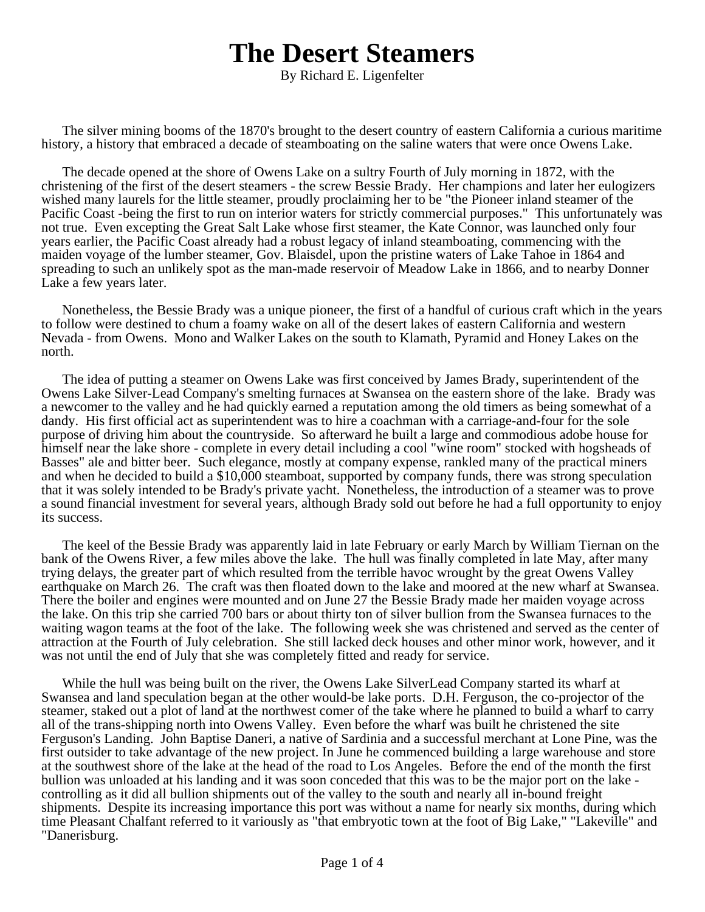## **The Desert Steamers**

By Richard E. Ligenfelter

The silver mining booms of the 1870's brought to the desert country of eastern California a curious maritime history, a history that embraced a decade of steamboating on the saline waters that were once Owens Lake.

The decade opened at the shore of Owens Lake on a sultry Fourth of July morning in 1872, with the christening of the first of the desert steamers - the screw Bessie Brady. Her champions and later her eulogizers wished many laurels for the little steamer, proudly proclaiming her to be "the Pioneer inland steamer of the Pacific Coast -being the first to run on interior waters for strictly commercial purposes." This unfortunately was not true. Even excepting the Great Salt Lake whose first steamer, the Kate Connor, was launched only four years earlier, the Pacific Coast already had a robust legacy of inland steamboating, commencing with the maiden voyage of the lumber steamer, Gov. Blaisdel, upon the pristine waters of Lake Tahoe in 1864 and spreading to such an unlikely spot as the man-made reservoir of Meadow Lake in 1866, and to nearby Donner Lake a few years later.

Nonetheless, the Bessie Brady was a unique pioneer, the first of a handful of curious craft which in the years to follow were destined to chum a foamy wake on all of the desert lakes of eastern California and western Nevada - from Owens. Mono and Walker Lakes on the south to Klamath, Pyramid and Honey Lakes on the north.

The idea of putting a steamer on Owens Lake was first conceived by James Brady, superintendent of the Owens Lake Silver-Lead Company's smelting furnaces at Swansea on the eastern shore of the lake. Brady was a newcomer to the valley and he had quickly earned a reputation among the old timers as being somewhat of a dandy. His first official act as superintendent was to hire a coachman with a carriage-and-four for the sole purpose of driving him about the countryside. So afterward he built a large and commodious adobe house for himself near the lake shore - complete in every detail including a cool "wine room" stocked with hogsheads of Basses" ale and bitter beer. Such elegance, mostly at company expense, rankled many of the practical miners and when he decided to build a \$10,000 steamboat, supported by company funds, there was strong speculation that it was solely intended to be Brady's private yacht. Nonetheless, the introduction of a steamer was to prove a sound financial investment for several years, although Brady sold out before he had a full opportunity to enjoy its success.

The keel of the Bessie Brady was apparently laid in late February or early March by William Tiernan on the bank of the Owens River, a few miles above the lake. The hull was finally completed in late May, after many trying delays, the greater part of which resulted from the terrible havoc wrought by the great Owens Valley earthquake on March 26. The craft was then floated down to the lake and moored at the new wharf at Swansea. There the boiler and engines were mounted and on June 27 the Bessie Brady made her maiden voyage across the lake. On this trip she carried 700 bars or about thirty ton of silver bullion from the Swansea furnaces to the waiting wagon teams at the foot of the lake. The following week she was christened and served as the center of attraction at the Fourth of July celebration. She still lacked deck houses and other minor work, however, and it was not until the end of July that she was completely fitted and ready for service.

While the hull was being built on the river, the Owens Lake SilverLead Company started its wharf at Swansea and land speculation began at the other would-be lake ports. D.H. Ferguson, the co-projector of the steamer, staked out a plot of land at the northwest comer of the take where he planned to build a wharf to carry all of the trans-shipping north into Owens Valley. Even before the wharf was built he christened the site Ferguson's Landing. John Baptise Daneri, a native of Sardinia and a successful merchant at Lone Pine, was the first outsider to take advantage of the new project. In June he commenced building a large warehouse and store at the southwest shore of the lake at the head of the road to Los Angeles. Before the end of the month the first bullion was unloaded at his landing and it was soon conceded that this was to be the major port on the lake controlling as it did all bullion shipments out of the valley to the south and nearly all in-bound freight shipments. Despite its increasing importance this port was without a name for nearly six months, during which time Pleasant Chalfant referred to it variously as "that embryotic town at the foot of Big Lake," "Lakeville" and "Danerisburg.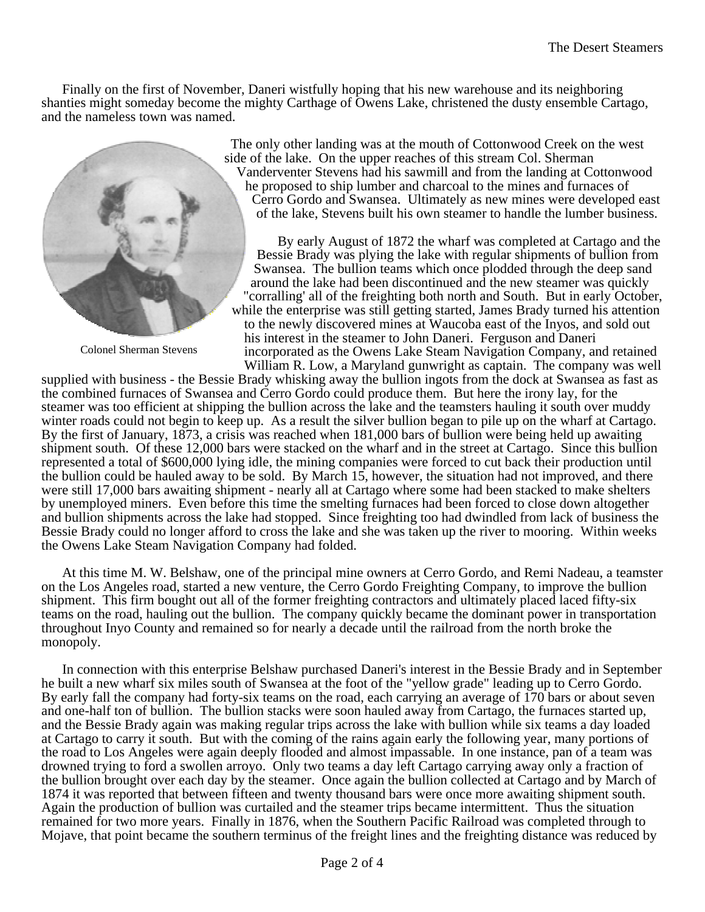Finally on the first of November, Daneri wistfully hoping that his new warehouse and its neighboring shanties might someday become the mighty Carthage of Owens Lake, christened the dusty ensemble Cartago, and the nameless town was named.



Colonel Sherman Stevens

The only other landing was at the mouth of Cottonwood Creek on the west side of the lake. On the upper reaches of this stream Col. Sherman Vanderventer Stevens had his sawmill and from the landing at Cottonwood he proposed to ship lumber and charcoal to the mines and furnaces of Cerro Gordo and Swansea. Ultimately as new mines were developed east of the lake, Stevens built his own steamer to handle the lumber business.

By early August of 1872 the wharf was completed at Cartago and the Bessie Brady was plying the lake with regular shipments of bullion from Swansea. The bullion teams which once plodded through the deep sand around the lake had been discontinued and the new steamer was quickly "corralling' all of the freighting both north and South. But in early October, while the enterprise was still getting started, James Brady turned his attention to the newly discovered mines at Waucoba east of the Inyos, and sold out his interest in the steamer to John Daneri. Ferguson and Daneri incorporated as the Owens Lake Steam Navigation Company, and retained William R. Low, a Maryland gunwright as captain. The company was well

supplied with business - the Bessie Brady whisking away the bullion ingots from the dock at Swansea as fast as the combined furnaces of Swansea and Cerro Gordo could produce them. But here the irony lay, for the steamer was too efficient at shipping the bullion across the lake and the teamsters hauling it south over muddy winter roads could not begin to keep up. As a result the silver bullion began to pile up on the wharf at Cartago. By the first of January, 1873, a crisis was reached when 181,000 bars of bullion were being held up awaiting shipment south. Of these 12,000 bars were stacked on the wharf and in the street at Cartago. Since this bullion represented a total of \$600,000 lying idle, the mining companies were forced to cut back their production until the bullion could be hauled away to be sold. By March 15, however, the situation had not improved, and there were still 17,000 bars awaiting shipment - nearly all at Cartago where some had been stacked to make shelters by unemployed miners. Even before this time the smelting furnaces had been forced to close down altogether and bullion shipments across the lake had stopped. Since freighting too had dwindled from lack of business the Bessie Brady could no longer afford to cross the lake and she was taken up the river to mooring. Within weeks the Owens Lake Steam Navigation Company had folded.

At this time M. W. Belshaw, one of the principal mine owners at Cerro Gordo, and Remi Nadeau, a teamster on the Los Angeles road, started a new venture, the Cerro Gordo Freighting Company, to improve the bullion shipment. This firm bought out all of the former freighting contractors and ultimately placed laced fifty-six teams on the road, hauling out the bullion. The company quickly became the dominant power in transportation throughout Inyo County and remained so for nearly a decade until the railroad from the north broke the monopoly.

In connection with this enterprise Belshaw purchased Daneri's interest in the Bessie Brady and in September he built a new wharf six miles south of Swansea at the foot of the "yellow grade" leading up to Cerro Gordo. By early fall the company had forty-six teams on the road, each carrying an average of 170 bars or about seven and one-half ton of bullion. The bullion stacks were soon hauled away from Cartago, the furnaces started up, and the Bessie Brady again was making regular trips across the lake with bullion while six teams a day loaded at Cartago to carry it south. But with the coming of the rains again early the following year, many portions of the road to Los Angeles were again deeply flooded and almost impassable. In one instance, pan of a team was drowned trying to ford a swollen arroyo. Only two teams a day left Cartago carrying away only a fraction of the bullion brought over each day by the steamer. Once again the bullion collected at Cartago and by March of 1874 it was reported that between fifteen and twenty thousand bars were once more awaiting shipment south. Again the production of bullion was curtailed and the steamer trips became intermittent. Thus the situation remained for two more years. Finally in 1876, when the Southern Pacific Railroad was completed through to Mojave, that point became the southern terminus of the freight lines and the freighting distance was reduced by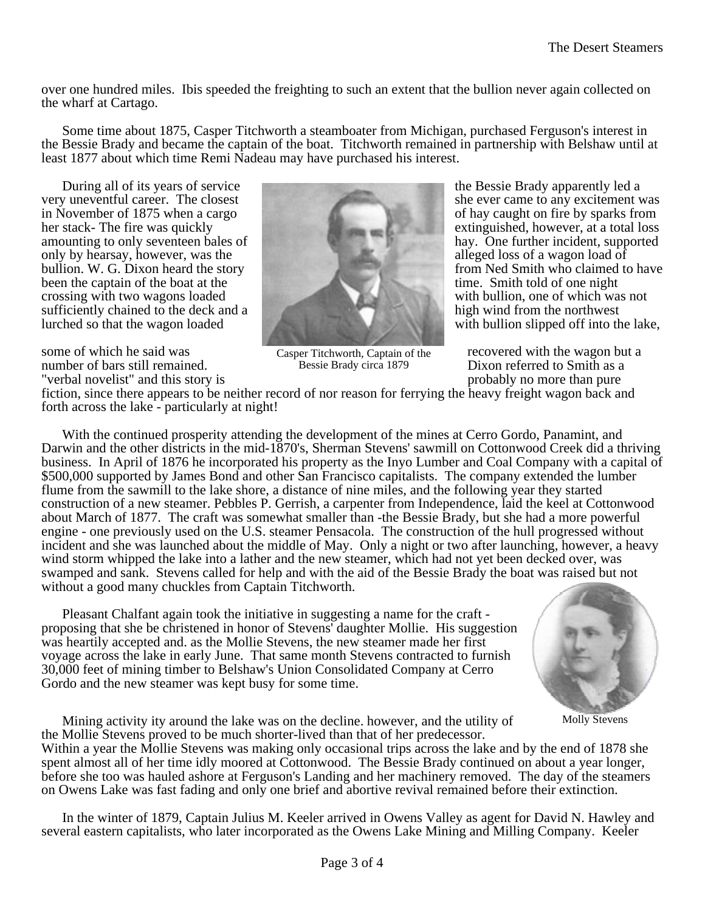over one hundred miles. Ibis speeded the freighting to such an extent that the bullion never again collected on the wharf at Cartago.

Some time about 1875, Casper Titchworth a steamboater from Michigan, purchased Ferguson's interest in the Bessie Brady and became the captain of the boat. Titchworth remained in partnership with Belshaw until at least 1877 about which time Remi Nadeau may have purchased his interest.

During all of its years of service<br>very uneventful career. The closest<br>service the Bessie Brady apparently led a<br>she ever came to any excitement v in November of 1875 when a cargo of hay caught on fire by sparks from her stack- The fire was quickly<br>amounting to only seventeen bales of have bales have One further incident, supported amounting to only seventeen bales of only by hearsay, however, was the alleged loss of a wagon load of bullion. W. G. Dixon heard the story from Ned Smith who claimed to have been the captain of the boat at the time. Smith told of one night crossing with two wagons loaded with bullion, one of which was not sufficiently chained to the deck and a high wind from the northwest sufficiently chained to the deck and a lurched so that the wagon loaded with bullion slipped off into the lake,

number of bars still remained.<br>
The Bessie Brady circa 1879 Dixon referred to Smith as a probably no more than pure<br>
Dixon referred to Smith as a probably no more than pure "verbal novelist" and this story is



Bessie Brady circa 1879

she ever came to any excitement was

some of which he said was Casper Titchworth, Captain of the recovered with the wagon but a

fiction, since there appears to be neither record of nor reason for ferrying the heavy freight wagon back and forth across the lake - particularly at night!

With the continued prosperity attending the development of the mines at Cerro Gordo, Panamint, and Darwin and the other districts in the mid-1870's, Sherman Stevens' sawmill on Cottonwood Creek did a thriving business. In April of 1876 he incorporated his property as the Inyo Lumber and Coal Company with a capital of \$500,000 supported by James Bond and other San Francisco capitalists. The company extended the lumber flume from the sawmill to the lake shore, a distance of nine miles, and the following year they started construction of a new steamer. Pebbles P. Gerrish, a carpenter from Independence, laid the keel at Cottonwood about March of 1877. The craft was somewhat smaller than -the Bessie Brady, but she had a more powerful engine - one previously used on the U.S. steamer Pensacola. The construction of the hull progressed without incident and she was launched about the middle of May. Only a night or two after launching, however, a heavy wind storm whipped the lake into a lather and the new steamer, which had not yet been decked over, was swamped and sank. Stevens called for help and with the aid of the Bessie Brady the boat was raised but not without a good many chuckles from Captain Titchworth.

Pleasant Chalfant again took the initiative in suggesting a name for the craft proposing that she be christened in honor of Stevens' daughter Mollie. His suggestion was heartily accepted and. as the Mollie Stevens, the new steamer made her first voyage across the lake in early June. That same month Stevens contracted to furnish 30,000 feet of mining timber to Belshaw's Union Consolidated Company at Cerro Gordo and the new steamer was kept busy for some time.



Molly Stevens

Mining activity ity around the lake was on the decline. however, and the utility of the Mollie Stevens proved to be much shorter-lived than that of her predecessor.

Within a year the Mollie Stevens was making only occasional trips across the lake and by the end of 1878 she spent almost all of her time idly moored at Cottonwood. The Bessie Brady continued on about a year longer, before she too was hauled ashore at Ferguson's Landing and her machinery removed. The day of the steamers on Owens Lake was fast fading and only one brief and abortive revival remained before their extinction.

In the winter of 1879, Captain Julius M. Keeler arrived in Owens Valley as agent for David N. Hawley and several eastern capitalists, who later incorporated as the Owens Lake Mining and Milling Company. Keeler